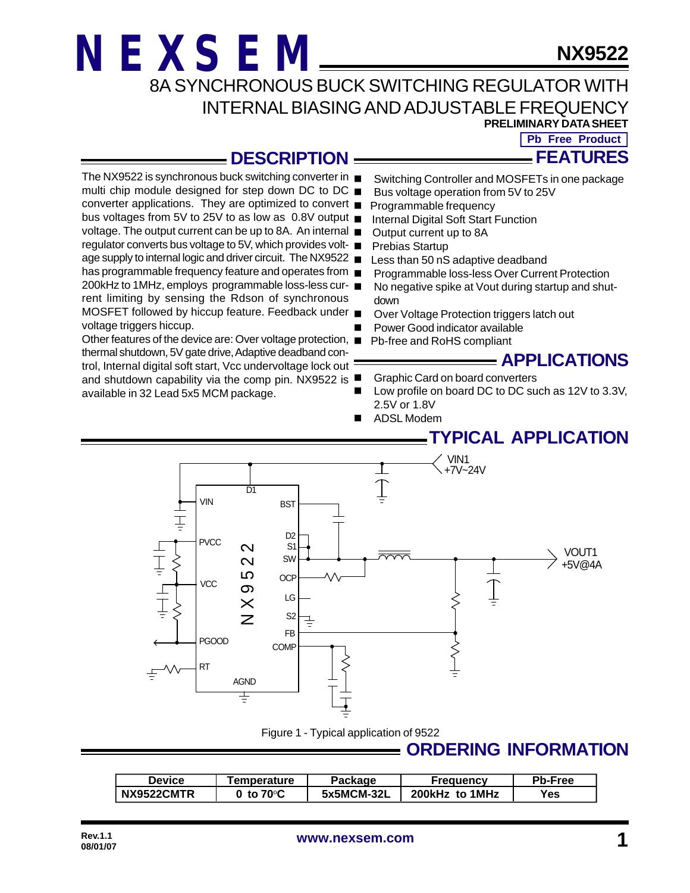rent limiting by sensing the Rdson of synchronous

thermal shutdown, 5V gate drive, Adaptive deadband control, Internal digital soft start, Vcc undervoltage lock out

available in 32 Lead 5x5 MCM package.

voltage triggers hiccup.

**NX9522**

8A SYNCHRONOUS BUCK SWITCHING REGULATOR WITH INTERNAL BIASING AND ADJUSTABLE FREQUENCY

**PRELIMINARY DATA SHEET**

**FEATURES Pb Free Product** 

#### **DESCRIPTION**

- The NX9522 is synchronous buck switching converter in Switching Controller and MOSFETs in one package
- multi chip module designed for step down DC to DC  $\blacksquare$ Bus voltage operation from 5V to 25V
- converter applications. They are optimized to convert Programmable frequency
- bus voltages from 5V to 25V to as low as 0.8V output Internal Digital Soft Start Function
- voltage. The output current can be up to 8A. An internal Output current up to 8A
- regulator converts bus voltage to 5V, which provides volt-Prebias Startup
- age supply to internal logic and driver circuit. The NX9522 Less than 50 nS adaptive deadband
- has programmable frequency feature and operates from  $\blacksquare$ Programmable loss-less Over Current Protection
- 200kHz to 1MHz, employs programmable loss-less cur- No negative spike at Vout during startup and shutdown
- MOSFET followed by hiccup feature. Feedback under Over Voltage Protection triggers latch out
	- Power Good indicator available
- Other features of the device are: Over voltage protection, Pb-free and RoHS compliant

#### **APPLICATIONS**

- **Graphic Card on board converters**
- and shutdown capability via the comp pin. NX9522 is Low profile on board DC to DC such as 12V to 3.3V, 2.5V or 1.8V
	- n ADSL Modem

### **TYPICAL APPLICATION**



Figure 1 - Typical application of 9522

### **ORDERING INFORMATION**

| <b>Device</b> | <b>Femperature</b>  | Package    | Freauencv      | Pb-Free |
|---------------|---------------------|------------|----------------|---------|
| NX9522CMTR    | 0 to $70^{\circ}$ C | 5x5MCM-32L | 200kHz to 1MHz | Yes     |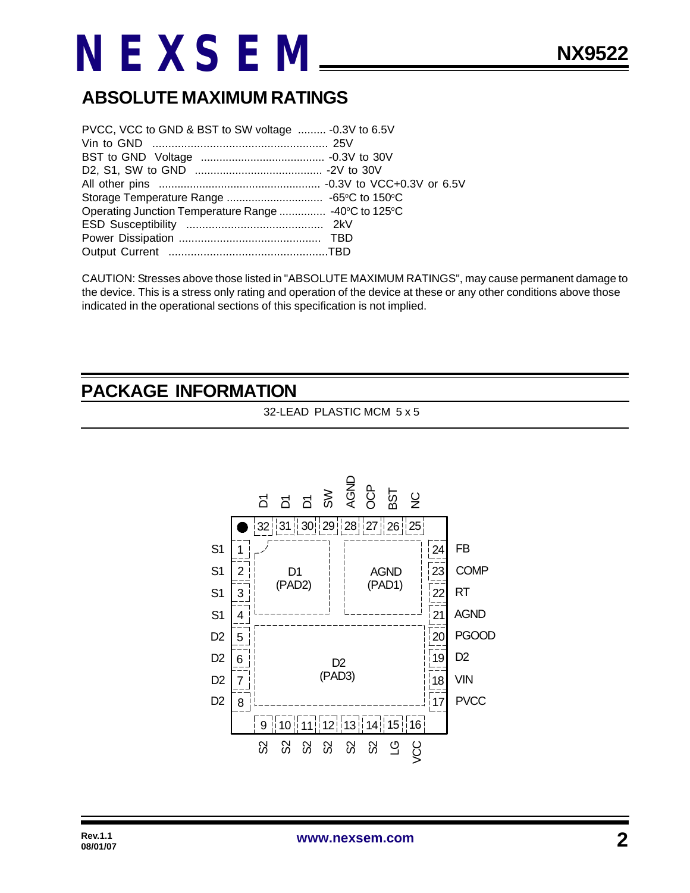## **ABSOLUTE MAXIMUM RATINGS**

| PVCC, VCC to GND & BST to SW voltage  - 0.3V to 6.5V |  |
|------------------------------------------------------|--|
|                                                      |  |
|                                                      |  |
|                                                      |  |
|                                                      |  |
|                                                      |  |
| Operating Junction Temperature Range  -40°C to 125°C |  |
|                                                      |  |
|                                                      |  |
|                                                      |  |

CAUTION: Stresses above those listed in "ABSOLUTE MAXIMUM RATINGS", may cause permanent damage to the device. This is a stress only rating and operation of the device at these or any other conditions above those indicated in the operational sections of this specification is not implied.

#### **PACKAGE INFORMATION**

32-LEAD PLASTIC MCM 5 x 5

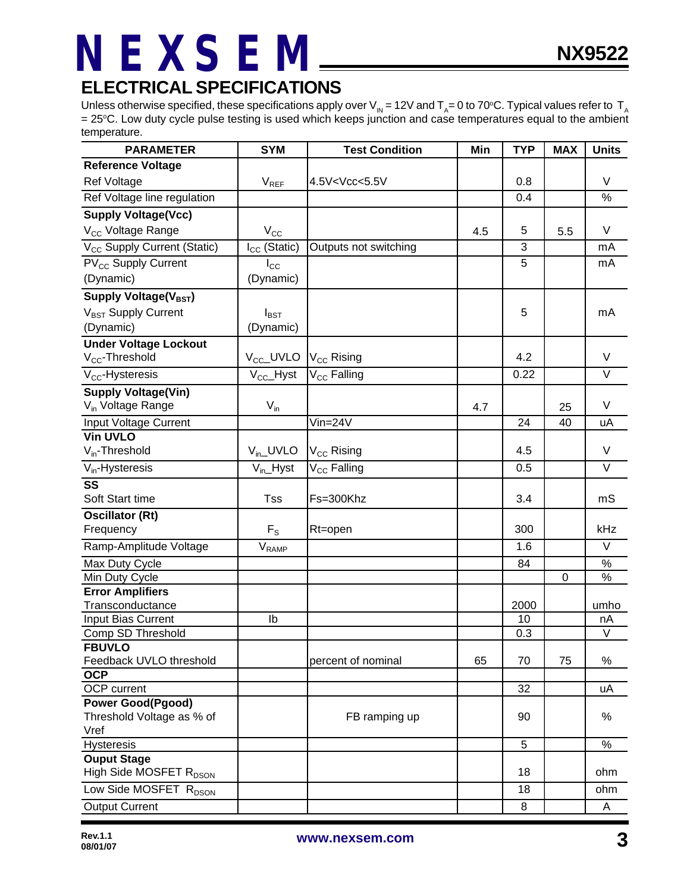### **ELECTRICAL SPECIFICATIONS**

Unless otherwise specified, these specifications apply over V<sub>IN</sub> = 12V and T<sub>A</sub>= 0 to 70°C. Typical values refer to T<sub>A</sub> = 25°C. Low duty cycle pulse testing is used which keeps junction and case temperatures equal to the ambient temperature.

| <b>PARAMETER</b>                            | <b>SYM</b>                   | <b>Test Condition</b>                                                      | Min | <b>TYP</b> | <b>MAX</b>  | <b>Units</b>      |
|---------------------------------------------|------------------------------|----------------------------------------------------------------------------|-----|------------|-------------|-------------------|
| <b>Reference Voltage</b>                    |                              |                                                                            |     |            |             |                   |
| Ref Voltage                                 | $V_{REF}$                    | 4.5V <vcc<5.5v< td=""><td></td><td>0.8</td><td></td><td>V</td></vcc<5.5v<> |     | 0.8        |             | V                 |
| Ref Voltage line regulation                 |                              |                                                                            |     | 0.4        |             | $\%$              |
| <b>Supply Voltage(Vcc)</b>                  |                              |                                                                            |     |            |             |                   |
| V <sub>CC</sub> Voltage Range               | $V_{\rm CC}$                 |                                                                            | 4.5 | 5          | 5.5         | V                 |
| V <sub>CC</sub> Supply Current (Static)     | $I_{CC}$ (Static)            | Outputs not switching                                                      |     | 3          |             | mA                |
| PV <sub>CC</sub> Supply Current             | $I_{\rm CC}$                 |                                                                            |     | 5          |             | mA                |
| (Dynamic)                                   | (Dynamic)                    |                                                                            |     |            |             |                   |
| Supply Voltage(V <sub>BST</sub> )           |                              |                                                                            |     |            |             |                   |
| V <sub>BST</sub> Supply Current             | $I_{\text{BST}}$             |                                                                            |     | 5          |             | mA                |
| (Dynamic)                                   | (Dynamic)                    |                                                                            |     |            |             |                   |
| <b>Under Voltage Lockout</b>                |                              |                                                                            |     |            |             |                   |
| V <sub>cc</sub> -Threshold                  | $V_{\text{CC}}$ _UVLO        | V <sub>CC</sub> Rising                                                     |     | 4.2        |             | V                 |
| $V_{CC}$ -Hysteresis                        | $V_{CC}$ Hyst                | V <sub>CC</sub> Falling                                                    |     | 0.22       |             | $\overline{\vee}$ |
| <b>Supply Voltage(Vin)</b>                  |                              |                                                                            |     |            |             |                   |
| V <sub>in</sub> Voltage Range               | $V_{in}$                     |                                                                            | 4.7 |            | 25          | V                 |
| Input Voltage Current                       |                              | $V$ in=24 $V$                                                              |     | 24         | 40          | uA                |
| <b>Vin UVLO</b>                             |                              |                                                                            |     |            |             |                   |
| $V_{in}$ -Threshold                         | $V_{in}$ UVLO                | V <sub>CC</sub> Rising                                                     |     | 4.5        |             | $\vee$            |
| $V_{in}$ -Hysteresis                        | $V_{in}$ Hyst                | V <sub>CC</sub> Falling                                                    |     | 0.5        |             | $\vee$            |
| $\overline{\text{ss}}$                      |                              |                                                                            |     |            |             |                   |
| Soft Start time                             | <b>Tss</b>                   | Fs=300Khz                                                                  |     | 3.4        |             | mS                |
| <b>Oscillator (Rt)</b>                      |                              |                                                                            |     |            |             |                   |
| Frequency                                   | $F_S$                        | Rt=open                                                                    |     | 300        |             | kHz               |
| Ramp-Amplitude Voltage                      | $\mathsf{V}_{\mathsf{RAMP}}$ |                                                                            |     | 1.6        |             | V                 |
| Max Duty Cycle                              |                              |                                                                            |     | 84         |             | $\frac{8}{6}$     |
| Min Duty Cycle                              |                              |                                                                            |     |            | $\mathbf 0$ | %                 |
| <b>Error Amplifiers</b><br>Transconductance |                              |                                                                            |     | 2000       |             | umho              |
| <b>Input Bias Current</b>                   | Ib                           |                                                                            |     | 10         |             | nA                |
| Comp SD Threshold                           |                              |                                                                            |     | 0.3        |             | $\vee$            |
| <b>FBUVLO</b>                               |                              |                                                                            |     |            |             |                   |
| Feedback UVLO threshold                     |                              | percent of nominal                                                         | 65  | 70         | 75          | $\%$              |
| <b>OCP</b>                                  |                              |                                                                            |     |            |             |                   |
| OCP current                                 |                              |                                                                            |     | 32         |             | uA                |
| <b>Power Good(Pgood)</b>                    |                              |                                                                            |     |            |             |                   |
| Threshold Voltage as % of<br>Vref           |                              | FB ramping up                                                              |     | 90         |             | %                 |
| Hysteresis                                  |                              |                                                                            |     | 5          |             | $\%$              |
| <b>Ouput Stage</b>                          |                              |                                                                            |     |            |             |                   |
| High Side MOSFET R <sub>DSON</sub>          |                              |                                                                            |     | 18         |             | ohm               |
| Low Side MOSFET R <sub>DSON</sub>           |                              |                                                                            |     | 18         |             | ohm               |
| <b>Output Current</b>                       |                              |                                                                            |     | 8          |             | A                 |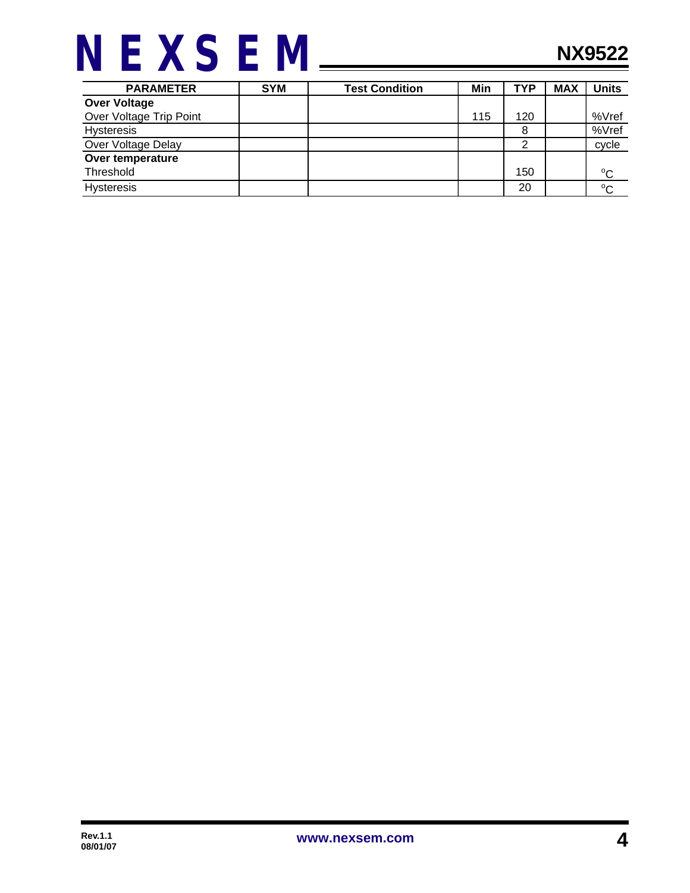

| <b>PARAMETER</b>        | <b>SYM</b> | <b>Test Condition</b> | Min | <b>TYP</b> | <b>MAX</b> | Units       |
|-------------------------|------------|-----------------------|-----|------------|------------|-------------|
| <b>Over Voltage</b>     |            |                       |     |            |            |             |
| Over Voltage Trip Point |            |                       | 115 | 120        |            | %Vref       |
| <b>Hysteresis</b>       |            |                       |     | 8          |            | %Vref       |
| Over Voltage Delay      |            |                       |     |            |            | cycle       |
| Over temperature        |            |                       |     |            |            |             |
| Threshold               |            |                       |     | 150        |            | $^{\circ}C$ |
| <b>Hysteresis</b>       |            |                       |     | 20         |            | $^{\circ}C$ |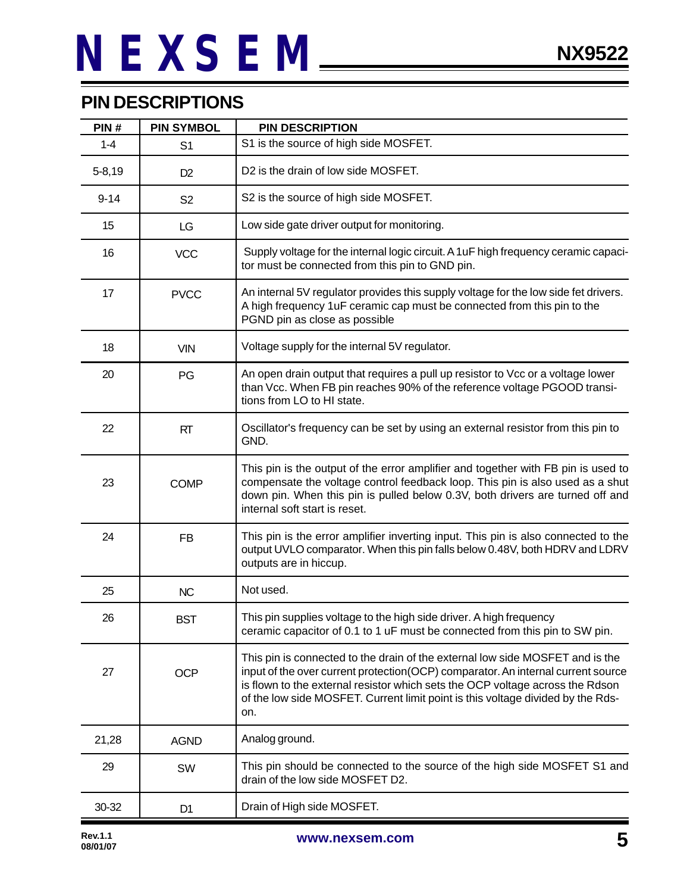#### **PIN DESCRIPTIONS**

| PIN#       | <b>PIN SYMBOL</b> | <b>PIN DESCRIPTION</b>                                                                                                                                                                                                                                                                                                                       |
|------------|-------------------|----------------------------------------------------------------------------------------------------------------------------------------------------------------------------------------------------------------------------------------------------------------------------------------------------------------------------------------------|
| $1 - 4$    | S <sub>1</sub>    | S1 is the source of high side MOSFET.                                                                                                                                                                                                                                                                                                        |
| $5 - 8,19$ | D <sub>2</sub>    | D2 is the drain of low side MOSFET.                                                                                                                                                                                                                                                                                                          |
| $9 - 14$   | S <sub>2</sub>    | S2 is the source of high side MOSFET.                                                                                                                                                                                                                                                                                                        |
| 15         | LG                | Low side gate driver output for monitoring.                                                                                                                                                                                                                                                                                                  |
| 16         | <b>VCC</b>        | Supply voltage for the internal logic circuit. A 1uF high frequency ceramic capaci-<br>tor must be connected from this pin to GND pin.                                                                                                                                                                                                       |
| 17         | <b>PVCC</b>       | An internal 5V regulator provides this supply voltage for the low side fet drivers.<br>A high frequency 1uF ceramic cap must be connected from this pin to the<br>PGND pin as close as possible                                                                                                                                              |
| 18         | <b>VIN</b>        | Voltage supply for the internal 5V regulator.                                                                                                                                                                                                                                                                                                |
| 20         | PG                | An open drain output that requires a pull up resistor to Vcc or a voltage lower<br>than Vcc. When FB pin reaches 90% of the reference voltage PGOOD transi-<br>tions from LO to HI state.                                                                                                                                                    |
| 22         | RT                | Oscillator's frequency can be set by using an external resistor from this pin to<br>GND.                                                                                                                                                                                                                                                     |
| 23         | <b>COMP</b>       | This pin is the output of the error amplifier and together with FB pin is used to<br>compensate the voltage control feedback loop. This pin is also used as a shut<br>down pin. When this pin is pulled below 0.3V, both drivers are turned off and<br>internal soft start is reset.                                                         |
| 24         | <b>FB</b>         | This pin is the error amplifier inverting input. This pin is also connected to the<br>output UVLO comparator. When this pin falls below 0.48V, both HDRV and LDRV<br>outputs are in hiccup.                                                                                                                                                  |
| 25         | <b>NC</b>         | Not used.                                                                                                                                                                                                                                                                                                                                    |
| 26         | <b>BST</b>        | This pin supplies voltage to the high side driver. A high frequency<br>ceramic capacitor of 0.1 to 1 uF must be connected from this pin to SW pin.                                                                                                                                                                                           |
| 27         | <b>OCP</b>        | This pin is connected to the drain of the external low side MOSFET and is the<br>input of the over current protection(OCP) comparator. An internal current source<br>is flown to the external resistor which sets the OCP voltage across the Rdson<br>of the low side MOSFET. Current limit point is this voltage divided by the Rds-<br>on. |
| 21,28      | <b>AGND</b>       | Analog ground.                                                                                                                                                                                                                                                                                                                               |
| 29         | SW                | This pin should be connected to the source of the high side MOSFET S1 and<br>drain of the low side MOSFET D2.                                                                                                                                                                                                                                |
| 30-32      | D <sub>1</sub>    | Drain of High side MOSFET.                                                                                                                                                                                                                                                                                                                   |